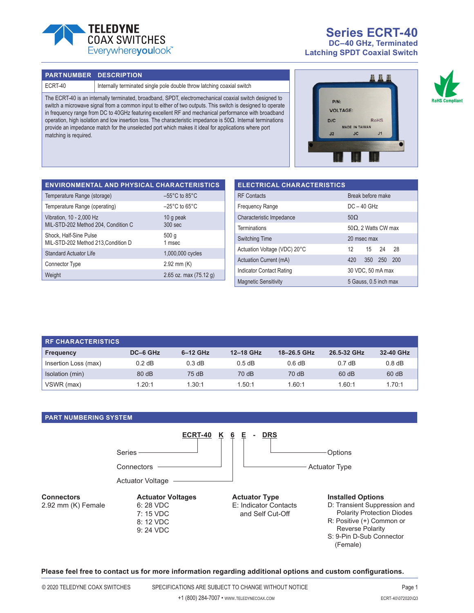

**Series ECRT-40 DC–40 GHz, Terminated Latching SPDT Coaxial Switch**

#### **PART NUMBER DESCRIPTION**

ECRT-40 Internally terminated single pole double throw latching coaxial switch

The ECRT-40 is an internally terminated, broadband, SPDT, electromechanical coaxial switch designed to switch a microwave signal from a common input to either of two outputs. This switch is designed to operate in frequency range from DC to 40GHz featuring excellent RF and mechanical performance with broadband operation, high isolation and low insertion loss. The characteristic impedance is 50Ω. Internal terminations provide an impedance match for the unselected port which makes it ideal for applications where port matching is required.





| <b>ENVIRONMENTAL AND PHYSICAL CHARACTERISTICS</b>               |                                    |
|-----------------------------------------------------------------|------------------------------------|
| Temperature Range (storage)                                     | $-55^{\circ}$ C to 85 $^{\circ}$ C |
| Temperature Range (operating)                                   | $-25^{\circ}$ C to 65 $^{\circ}$ C |
| Vibration, 10 - 2,000 Hz<br>MIL-STD-202 Method 204, Condition C | 10 g peak<br>$300$ sec             |
| Shock, Half-Sine Pulse<br>MIL-STD-202 Method 213, Condition D   | 500q<br>1 msec                     |
| <b>Standard Actuator Life</b>                                   | 1,000,000 cycles                   |
| Connector Type                                                  | $2.92$ mm $(K)$                    |
| Weight                                                          | 2.65 oz. max $(75.12 g)$           |

| <b>ELECTRICAL CHARACTERISTICS</b> |                             |         |       |     |  |  |
|-----------------------------------|-----------------------------|---------|-------|-----|--|--|
| <b>RF</b> Contacts                | Break before make           |         |       |     |  |  |
| <b>Frequency Range</b>            | $DC - 40$ GHz               |         |       |     |  |  |
| Characteristic Impedance          | $50\Omega$                  |         |       |     |  |  |
| Terminations                      | $50\Omega$ , 2 Watts CW max |         |       |     |  |  |
| <b>Switching Time</b>             | 20 msec max                 |         |       |     |  |  |
| Actuation Voltage (VDC) 20°C      | 12                          |         | 15 24 | 28  |  |  |
| Actuation Current (mA)            | 420                         | 350 250 |       | 200 |  |  |
| <b>Indicator Contact Rating</b>   | 30 VDC, 50 mA max           |         |       |     |  |  |
| <b>Magnetic Sensitivity</b>       | 5 Gauss, 0.5 inch max       |         |       |     |  |  |

| <b>RE CHARACTERISTICS</b> |          |            |           |             |                  |           |
|---------------------------|----------|------------|-----------|-------------|------------------|-----------|
| <b>Frequency</b>          | DC-6 GHz | $6-12$ GHz | 12-18 GHz | 18-26.5 GHz | 26.5-32 GHz      | 32-40 GHz |
| Insertion Loss (max)      | $0.2$ dB | 0.3 dB     | $0.5$ dB  | 0.6 dB      | $0.7 \text{ dB}$ | $0.8$ dB  |
| Isolation (min)           | 80 dB    | 75 dB      | 70 dB     | 70 dB       | 60 dB            | 60 dB     |
| VSWR (max)                | 1.20:1   | 1.30:1     | 1.50:1    | 1.60:1      | 1.60:1           | 1.70:1    |

## **PART NUMBERING SYSTEM**



**Please feel free to contact us for more information regarding additional options and custom configurations.**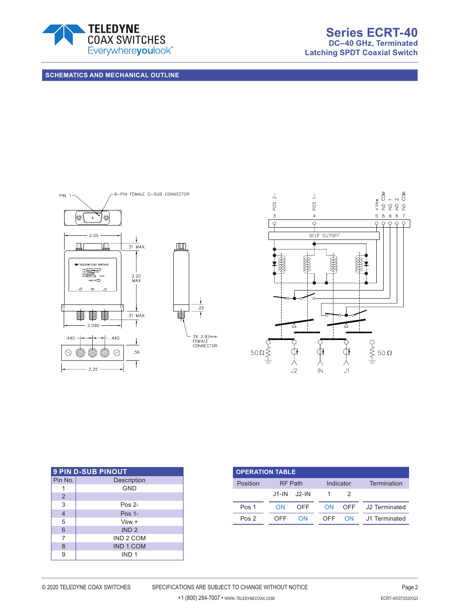

**Latching SPDT Coaxial Switch**

**SCHEMATICS AND MECHANICAL OUTLINE**





| <b>9 PIN D-SUB PINOUT</b> |                    |  |  |  |  |
|---------------------------|--------------------|--|--|--|--|
| Pin No.                   | <b>Description</b> |  |  |  |  |
|                           | <b>GND</b>         |  |  |  |  |
| $\overline{2}$            |                    |  |  |  |  |
| 3                         | Pos <sub>2</sub>   |  |  |  |  |
| $\overline{4}$            | Pos $1-$           |  |  |  |  |
| 5                         | $Vsw +$            |  |  |  |  |
| 6                         | IND <sub>2</sub>   |  |  |  |  |
| 7                         | IND 2 COM          |  |  |  |  |
| 8                         | <b>IND 1 COM</b>   |  |  |  |  |
| 9                         | IND <sub>1</sub>   |  |  |  |  |

| <b>OPERATION TABLE</b> |                |        |           |           |                   |  |
|------------------------|----------------|--------|-----------|-----------|-------------------|--|
| Position               | <b>RF</b> Path |        | Indicator |           | Termination       |  |
|                        | .J1-IN         | .J2-IN |           |           |                   |  |
| Pos 1                  | ΩN             | OFF    | <b>ON</b> |           | OFF J2 Terminated |  |
| Pos 2                  | OFF            | ΩN     | OFF       | <b>ON</b> | J1 Terminated     |  |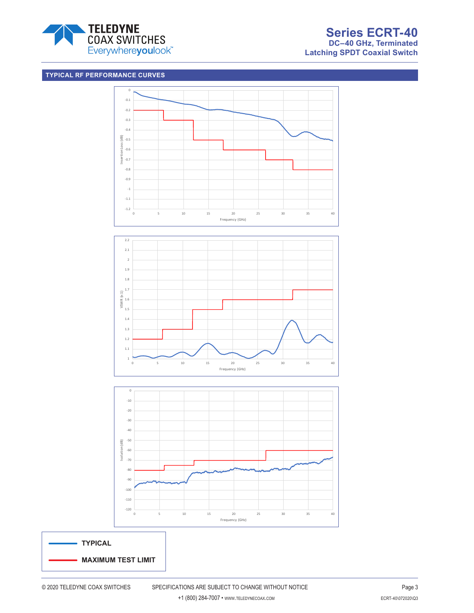

# **TYPICAL RF PERFORMANCE CURVES**





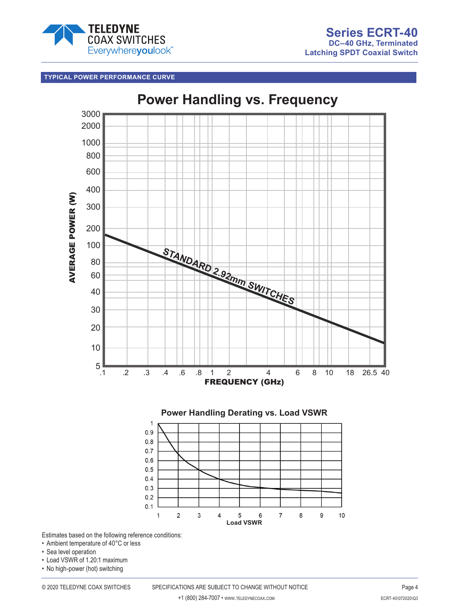

# **TYPICAL POWER PERFORMANCE CURVE**



Estimates based on the following reference conditions:

- Ambient temperature of 40°C or less
- Sea level operation
- Load VSWR of 1.20:1 maximum
- No high-power (hot) switching